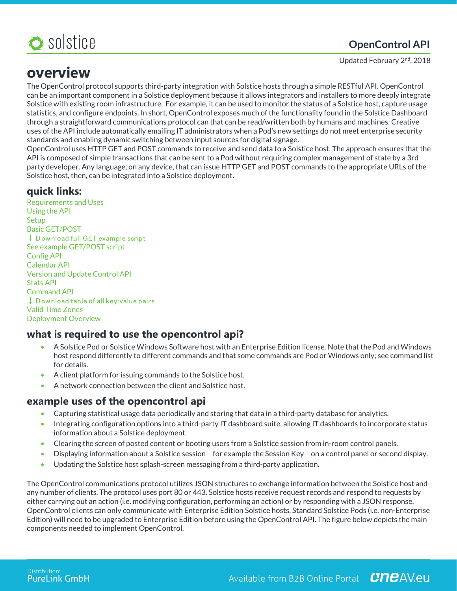

# **OpenControl API**

Updated February 2<sup>nd</sup>, 2018

# **overview**

The OpenControl protocol supports third-party integration with Solstice hosts through a simple RESTful API. OpenControl can be an important component in a Solstice deployment because it allows integrators and installers to more deeply integrate Solstice with existing room infrastructure. For example, it can be used to monitor the status of a Solstice host, capture usage statistics, and configure endpoints. In short, OpenControl exposes much of the functionality found in the Solstice Dashboard through a straightforward communications protocol can that can be read/written both by humans and machines. Creative uses of the API include automatically emailing IT administrators when a Pod's new settings do not meet enterprise security standards and enabling dynamic switching between input sources for digital signage.

OpenControl uses HTTP GET and POST commands to receive and send data to a Solstice host. The approach ensures that the API is composed of simple transactions that can be sent to a Pod without requiring complex management of state by a 3rd party developer. Any language, on any device, that can issue HTTP GET and POST commands to the appropriate URLs of the Solstice host, then, can be integrated into a Solstice deployment.

# **quick links:**

Requirements and Uses Using the API **Setup** Basic GET/POST ↓ Download full GET example script See example GET/POST script Config API Calendar API Version and Update Control API Stats API Command API ↓ Download table of all key: value pairs Valid Time Zones Deployment Overview

# **what is required to use the opencontrol api?**

- A Solstice Pod or Solstice Windows Software host with an Enterprise Edition license. Note that the Pod and Windows host respond differently to different commands and that some commands are Pod or Windows only; see command list for details.
- A client platform for issuing commands to the Solstice host.
- A network connection between the client and Solstice host.

## **example uses of the opencontrol api**

- Capturing statistical usage data periodically and storing that data in a third-party database for analytics.
- Integrating configuration options into a third-party IT dashboard suite, allowing IT dashboards to incorporate status information about a Solstice deployment.
- Clearing the screen of posted content or booting users from a Solstice session from in-room control panels.
- Displaying information about a Solstice session for example the Session Key on a control panel or second display.
- Updating the Solstice host splash-screen messaging from a third-party application.

The OpenControl communications protocol utilizes JSON structures to exchange information between the Solstice host and any number of clients. The protocol uses port 80 or 443. Solstice hosts receive request records and respond to requests by either carrying out an action (i.e. modifying configuration, performing an action) or by responding with a JSON response. OpenControl clients can only communicate with Enterprise Edition Solstice hosts. Standard Solstice Pods (i.e. non-Enterprise Edition) will need to be upgraded to Enterprise Edition before using the OpenControl API. The figure below depicts the main components needed to implement OpenControl.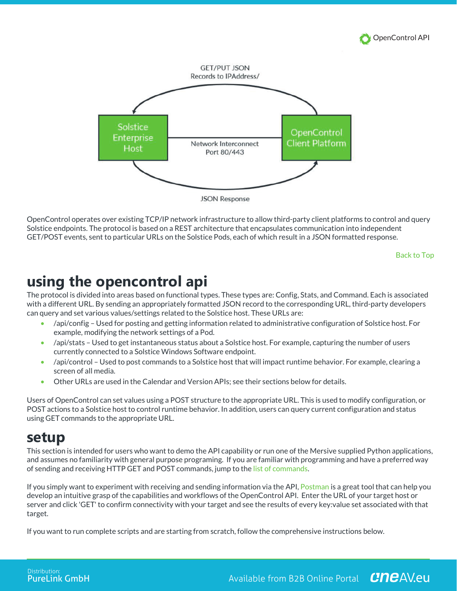



OpenControl operates over existing TCP/IP network infrastructure to allow third-party client platforms to control and query Solstice endpoints. The protocol is based on a REST architecture that encapsulates communication into independent GET/POST events, sent to particular URLs on the Solstice Pods, each of which result in a JSON formatted response.

Back to Top

# **using the opencontrol api**

The protocol is divided into areas based on functional types. These types are: Config, Stats, and Command. Each is associated with a different URL. By sending an appropriately formatted JSON record to the corresponding URL, third-party developers can query and set various values/settings related to the Solstice host. These URLs are:

- /api/config Used for posting and getting information related to administrative configuration of Solstice host. For example, modifying the network settings of a Pod.
- /api/stats Used to get instantaneous status about a Solstice host. For example, capturing the number of users currently connected to a Solstice Windows Software endpoint.
- /api/control Used to post commands to a Solstice host that will impact runtime behavior. For example, clearing a screen of all media.
- Other URLs are used in the Calendar and Version APIs; see their sections below for details.

Users of OpenControl can set values using a POST structure to the appropriate URL. This is used to modify configuration, or POST actions to a Solstice host to control runtime behavior. In addition, users can query current configuration and status using GET commands to the appropriate URL.

# **setup**

This section is intended for users who want to demo the API capability or run one of the Mersive supplied Python applications, and assumes no familiarity with general purpose programing. If you are familiar with programming and have a preferred way of sending and receiving HTTP GET and POST commands, jump to the list of commands.

If you simply want to experiment with receiving and sending information via the API, Postman is a great tool that can help you develop an intuitive grasp of the capabilities and workflows of the OpenControl API. Enter the URL of your target host or server and click 'GET' to confirm connectivity with your target and see the results of every key:value set associated with that target.

If you want to run complete scripts and are starting from scratch, follow the comprehensive instructions below.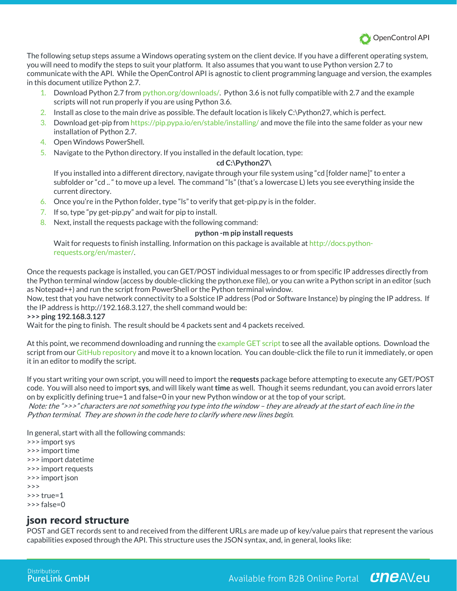

The following setup steps assume a Windows operating system on the client device. If you have a different operating system, you will need to modify the steps to suit your platform. It also assumes that you want to use Python version 2.7 to communicate with the API. While the OpenControl API is agnostic to client programming language and version, the examples in this document utilize Python 2.7.

- 1. Download Python 2.7 from python.org/downloads/. Python 3.6 is not fully compatible with 2.7 and the example scripts will not run properly if you are using Python 3.6.
- 2. Install as close to the main drive as possible. The default location is likely C:\Python27, which is perfect.
- 3. Download get-pip from https://pip.pypa.io/en/stable/installing/ and move the file into the same folder as your new installation of Python 2.7.
- 4. Open Windows PowerShell.
- 5. Navigate to the Python directory. If you installed in the default location, type:

### **cd C:\Python27\**

If you installed into a different directory, navigate through your file system using "cd [folder name]" to enter a subfolder or "cd .. " to move up a level. The command "ls" (that's a lowercase L) lets you see everything inside the current directory.

- 6. Once you're in the Python folder, type "ls" to verify that get-pip.py is in the folder.
- 7. If so, type "py get-pip.py" and wait for pip to install.
- 8. Next, install the requests package with the following command:

### **python -m pip install requests**

Wait for requests to finish installing. Information on this package is available at http://docs.pythonrequests.org/en/master/.

Once the requests package is installed, you can GET/POST individual messages to or from specific IP addresses directly from the Python terminal window (access by double-clicking the python.exe file), or you can write a Python script in an editor (such as Notepad++) and run the script from PowerShell or the Python terminal window.

Now, test that you have network connectivity to a Solstice IP address (Pod or Software Instance) by pinging the IP address. If the IP address is http://192.168.3.127, the shell command would be:

### **>>> ping 192.168.3.127**

Wait for the ping to finish. The result should be 4 packets sent and 4 packets received.

At this point, we recommend downloading and running the example GET script to see all the available options. Download the script from our GitHub repository and move it to a known location. You can double-click the file to run it immediately, or open it in an editor to modify the script.

If you start writing your own script, you will need to import the **requests** package before attempting to execute any GET/POST code. You will also need to import **sys**, and will likely want**time** as well. Though it seems redundant, you can avoid errors later on by explicitly defining true=1 and false=0 in your new Python window or at the top of your script.

Note: the ">>>" characters are not something you type into the window – they are already at the start of each line in the Python terminal. They are shown in the code here to clarify where new lines begin.

In general, start with all the following commands:

>>> import sys >>> import time >>> import datetime >>> import requests >>> import json >>>  $\rightarrow$  >> true=1 >>> false=0

## **json record structure**

POST and GET records sent to and received from the different URLs are made up of key/value pairs that represent the various capabilities exposed through the API. This structure uses the JSON syntax, and, in general, looks like: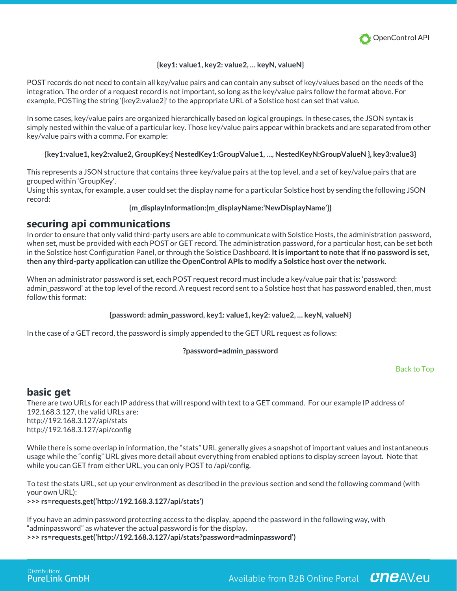

### **{key1: value1, key2: value2, … keyN, valueN}**

POST records do not need to contain all key/value pairs and can contain any subset of key/values based on the needs of the integration. The order of a request record is not important, so long as the key/value pairs follow the format above. For example, POSTing the string '{key2:value2}' to the appropriate URL of a Solstice host can set that value.

In some cases, key/value pairs are organized hierarchically based on logical groupings. In these cases, the JSON syntax is simply nested within the value of a particular key. Those key/value pairs appear within brackets and are separated from other key/value pairs with a comma. For example:

### {**key1:value1, key2:value2, GroupKey:{ NestedKey1:GroupValue1, …, NestedKeyN:GroupValueN }, key3:value3}**

This represents a JSON structure that contains three key/value pairs at the top level, and a set of key/value pairs that are grouped within 'GroupKey'.

Using this syntax, for example, a user could set the display name for a particular Solstice host by sending the following JSON record:

### **{m\_displayInformation:{m\_displayName:'NewDisplayName'}}**

### **securing api communications**

In order to ensure that only valid third-party users are able to communicate with Solstice Hosts, the administration password, when set, must be provided with each POST or GET record. The administration password, for a particular host, can be set both in the Solstice host Configuration Panel, or through the Solstice Dashboard. **It is important to note that if no password is set, then any third-party application can utilize the OpenControl APIs to modify a Solstice host over the network.**

When an administrator password is set, each POST request record must include a key/value pair that is: 'password: admin\_password' at the top level of the record. A request record sent to a Solstice host that has password enabled, then, must follow this format:

### **{password: admin\_password, key1: value1, key2: value2, … keyN, valueN}**

In the case of a GET record, the password is simply appended to the GET URL request as follows:

### **?password=admin\_password**

### Back to Top

### **basic get**

There are two URLs for each IP address that will respond with text to a GET command. For our example IP address of 192.168.3.127, the valid URLs are: http://192.168.3.127/api/stats http://192.168.3.127/api/config

While there is some overlap in information, the "stats" URL generally gives a snapshot of important values and instantaneous usage while the "config" URL gives more detail about everything from enabled options to display screen layout. Note that while you can GET from either URL, you can only POST to /api/config.

To test the stats URL, set up your environment as described in the previous section and send the following command (with your own URL): **>>> rs=requests.get('http://192.168.3.127/api/stats')**

If you have an admin password protecting access to the display, append the password in the following way, with "adminpassword" as whatever the actual password is for the display.

**>>> rs=requests.get('http://192.168.3.127/api/stats?password=adminpassword')**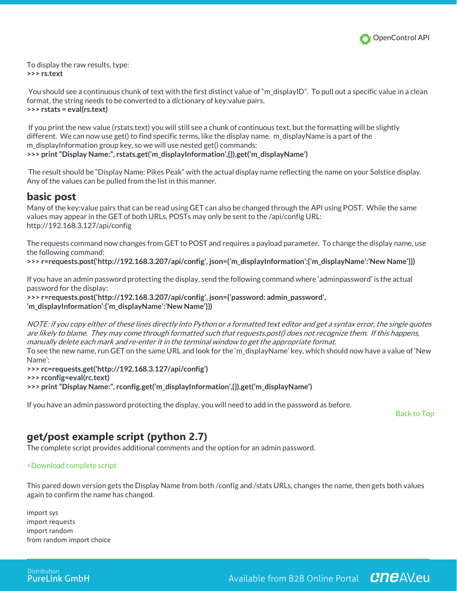

To display the raw results, type: **>>> rs.text**

You should see a continuous chunk of text with the first distinct value of "m\_displayID". To pull out a specific value in a clean format, the string needs to be converted to a dictionary of key:value pairs. **>>> rstats = eval(rs.text)**

If you print the new value (rstats.text) you will still see a chunk of continuous text, but the formatting will be slightly different. We can now use get() to find specific terms, like the display name. m\_displayName is a part of the m displayInformation group key, so we will use nested get() commands: **>>> print "Display Name:", rstats.get('m\_displayInformation',{}).get('m\_displayName')**

The result should be "Display Name: Pikes Peak" with the actual display name reflecting the name on your Solstice display. Any of the values can be pulled from the list in this manner.

### **basic post**

Many of the key:value pairs that can be read using GET can also be changed through the API using POST. While the same values may appear in the GET of both URLs, POSTs may only be sent to the /api/config URL: http://192.168.3.127/api/config

The requests command now changes from GET to POST and requires a payload parameter. To change the display name, use the following command:

**>>> r=requests.post('http://192.168.3.207/api/config', json={'m\_displayInformation':{'m\_displayName':'New Name'}})**

If you have an admin password protecting the display, send the following command where 'adminpassword' is the actual password for the display:

**>>> r=requests.post('http://192.168.3.207/api/config', json={'password: admin\_password', 'm\_displayInformation':{'m\_displayName':'New Name'}})**

NOTE: if you copy either of these lines directly into Python or a formatted text editor and get a syntax error, the single quotes are likely to blame. They may come through formatted such that requests.post() does not recognize them. If this happens, manually delete each mark and re-enter it in the terminal window to get the appropriate format.

To see the new name, run GET on the same URL and look for the 'm\_displayName' key, which should now have a value of 'New Name':

**>>> rc=requests.get('http://192.168.3.127/api/config')**

**>>> rconfig=eval(rc.text)**

**>>> print "Display Name:", rconfig.get('m\_displayInformation',{}).get('m\_displayName')**

If you have an admin password protecting the display, you will need to add in the password as before.

Back to Top

## **get/post example script (python 2.7)**

The complete script provides additional comments and the option for an admin password.

>Download complete script

This pared down version gets the Display Name from both /config and /stats URLs, changes the name, then gets both values again to confirm the name has changed.

import sys import requests import random from random import choice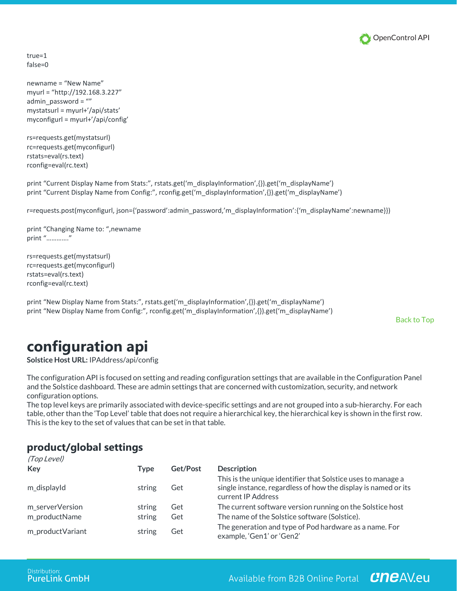

true=1 false=0

newname = "New Name" myurl = "http://192.168.3.227" admin  $password = ""$ mystatsurl = myurl+'/api/stats' myconfigurl = myurl+'/api/config'

rs=requests.get(mystatsurl) rc=requests.get(myconfigurl) rstats=eval(rs.text) rconfig=eval(rc.text)

print "Current Display Name from Stats:", rstats.get('m\_displayInformation',{}).get('m\_displayName') print "Current Display Name from Config:", rconfig.get('m\_displayInformation',{}).get('m\_displayName')

r=requests.post(myconfigurl, json={'password':admin\_password,'m\_displayInformation':{'m\_displayName':newname}})

print "Changing Name to: ",newname print "…………."

rs=requests.get(mystatsurl) rc=requests.get(myconfigurl) rstats=eval(rs.text) rconfig=eval(rc.text)

print "New Display Name from Stats:", rstats.get('m\_displayInformation',{}).get('m\_displayName') print "New Display Name from Config:", rconfig.get('m\_displayInformation',{}).get('m\_displayName')

Back to Top

# **configuration api**

**Solstice Host URL:** IPAddress/api/config

The configuration API is focused on setting and reading configuration settings that are available in the Configuration Panel and the Solstice dashboard. These are admin settings that are concerned with customization, security, and network configuration options.

The top level keys are primarily associated with device-specific settings and are not grouped into a sub-hierarchy. For each table, other than the 'Top Level' table that does not require a hierarchical key, the hierarchical key is shown in the first row. This is the key to the set of values that can be set in that table.

# **product/global settings**

| (Top Level)      |        |          |                                                                                                                                                      |
|------------------|--------|----------|------------------------------------------------------------------------------------------------------------------------------------------------------|
| Key              | Type   | Get/Post | <b>Description</b>                                                                                                                                   |
| m_displayId      | string | Get      | This is the unique identifier that Solstice uses to manage a<br>single instance, regardless of how the display is named or its<br>current IP Address |
| m_serverVersion  | string | Get      | The current software version running on the Solstice host                                                                                            |
| m_productName    | string | Get      | The name of the Solstice software (Solstice).                                                                                                        |
| m_productVariant | string | Get      | The generation and type of Pod hardware as a name. For<br>example, 'Gen1' or 'Gen2'                                                                  |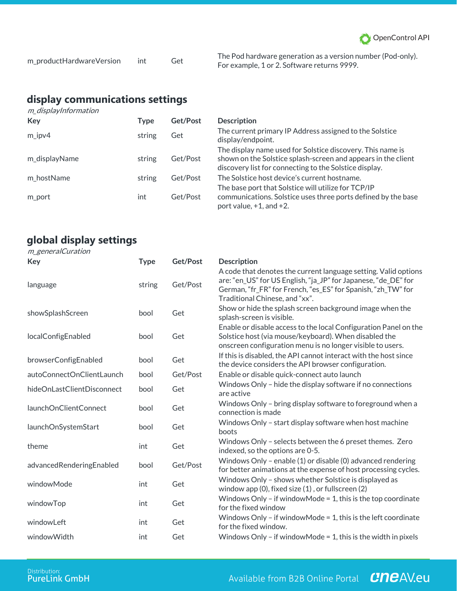

| m_productHardwareVersion | int | Get |
|--------------------------|-----|-----|
|--------------------------|-----|-----|

The Pod hardware generation as a version number (Pod-only). For example, 1 or 2. Software returns 9999.

## **display communications settings** m\_displayInformation

| Key           | Type   | Get/Post | <b>Description</b>                                                                                                                                                                    |
|---------------|--------|----------|---------------------------------------------------------------------------------------------------------------------------------------------------------------------------------------|
| $m$ ipv4      | string | Get      | The current primary IP Address assigned to the Solstice<br>display/endpoint.                                                                                                          |
| m displayName | string | Get/Post | The display name used for Solstice discovery. This name is<br>shown on the Solstice splash-screen and appears in the client<br>discovery list for connecting to the Solstice display. |
| m hostName    | string | Get/Post | The Solstice host device's current hostname.                                                                                                                                          |
| m port        | int    | Get/Post | The base port that Solstice will utilize for TCP/IP<br>communications. Solstice uses three ports defined by the base<br>port value, $+1$ , and $+2$ .                                 |

# **global display settings**

### m\_generalCuration

| Key                        | <b>Type</b> | Get/Post | <b>Description</b>                                                                                                                                                                                                                  |
|----------------------------|-------------|----------|-------------------------------------------------------------------------------------------------------------------------------------------------------------------------------------------------------------------------------------|
| language                   | string      | Get/Post | A code that denotes the current language setting. Valid options<br>are: "en_US" for US English, "ja_JP" for Japanese, "de_DE" for<br>German, "fr_FR" for French, "es_ES" for Spanish, "zh_TW" for<br>Traditional Chinese, and "xx". |
| showSplashScreen           | bool        | Get      | Show or hide the splash screen background image when the<br>splash-screen is visible.                                                                                                                                               |
| localConfigEnabled         | bool        | Get      | Enable or disable access to the local Configuration Panel on the<br>Solstice host (via mouse/keyboard). When disabled the<br>onscreen configuration menu is no longer visible to users.                                             |
| browserConfigEnabled       | bool        | Get      | If this is disabled, the API cannot interact with the host since<br>the device considers the API browser configuration.                                                                                                             |
| autoConnectOnClientLaunch  | bool        | Get/Post | Enable or disable quick-connect auto launch                                                                                                                                                                                         |
| hideOnLastClientDisconnect | bool        | Get      | Windows Only - hide the display software if no connections<br>are active                                                                                                                                                            |
| launchOnClientConnect      | bool        | Get      | Windows Only - bring display software to foreground when a<br>connection is made                                                                                                                                                    |
| launchOnSystemStart        | bool        | Get      | Windows Only - start display software when host machine<br>boots                                                                                                                                                                    |
| theme                      | int         | Get      | Windows Only - selects between the 6 preset themes. Zero<br>indexed, so the options are 0-5.                                                                                                                                        |
| advancedRenderingEnabled   | bool        | Get/Post | Windows Only - enable (1) or disable (0) advanced rendering<br>for better animations at the expense of host processing cycles.                                                                                                      |
| windowMode                 | int         | Get      | Windows Only - shows whether Solstice is displayed as<br>window app $(0)$ , fixed size $(1)$ , or fullscreen $(2)$                                                                                                                  |
| windowTop                  | int         | Get      | Windows Only - if window Mode = 1, this is the top coordinate<br>for the fixed window                                                                                                                                               |
| windowLeft                 | int         | Get      | Windows Only - if window Mode = 1, this is the left coordinate<br>for the fixed window.                                                                                                                                             |
| windowWidth                | int         | Get      | Windows Only - if window Mode = 1, this is the width in pixels                                                                                                                                                                      |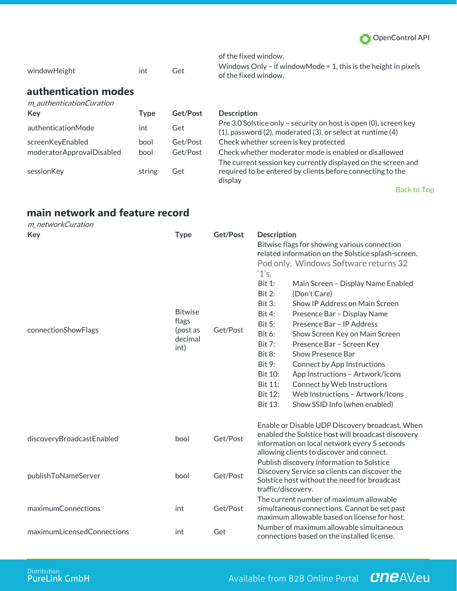

| windowHeight                                            | int  | Get      | of the fixed window.<br>Windows Only – if window Mode = 1, this is the height in pixels<br>of the fixed window. |
|---------------------------------------------------------|------|----------|-----------------------------------------------------------------------------------------------------------------|
| authentication modes<br>m authenticationCuration<br>Kev | Type | Get/Post | <b>Description</b><br>$D_{\text{K}}$ 2.0 Soletice only coourity on boot is open $(D)$ coroon $L_{\text{C}}$     |

| authenticationMode                            | int          | Get                  |
|-----------------------------------------------|--------------|----------------------|
| screenKeyEnabled<br>moderatorApprovalDisabled | bool<br>bool | Get/Post<br>Get/Post |
| sessionKey                                    | string       | Get                  |

Pre 3.0 Solstice only – security on host is open (0), screen key (1), password (2), moderated (3), or select at runtime (4) Check whether screen is key protected Check whether moderator mode is enabled or disallowed The current session key currently displayed on the screen and required to be entered by clients before connecting to the display

Back to Top

# **main network and feature record**

| m_networkCuration          |                                                        |          |                                                                                                                                                                                                                                                                                                                                                                                                                                                                                                                                                                                                                                                                                                                                                                                 |
|----------------------------|--------------------------------------------------------|----------|---------------------------------------------------------------------------------------------------------------------------------------------------------------------------------------------------------------------------------------------------------------------------------------------------------------------------------------------------------------------------------------------------------------------------------------------------------------------------------------------------------------------------------------------------------------------------------------------------------------------------------------------------------------------------------------------------------------------------------------------------------------------------------|
| Key                        | <b>Type</b>                                            | Get/Post | <b>Description</b>                                                                                                                                                                                                                                                                                                                                                                                                                                                                                                                                                                                                                                                                                                                                                              |
| connectionShowFlags        | <b>Bitwise</b><br>flags<br>(post as<br>decimal<br>int) | Get/Post | Bitwise flags for showing various connection<br>related information on the Solstice splash-screen.<br>Pod only. Windows Software returns 32<br>'1's.<br><b>Bit 1:</b><br>Main Screen - Display Name Enabled<br><b>Bit 2:</b><br>(Don't Care)<br>Show IP Address on Main Screen<br>Bit 3:<br><b>Bit 4:</b><br>Presence Bar - Display Name<br>Presence Bar - IP Address<br><b>Bit 5:</b><br>Bit 6:<br>Show Screen Key on Main Screen<br><b>Bit 7:</b><br>Presence Bar - Screen Key<br>Show Presence Bar<br><b>Bit 8:</b><br>Bit 9:<br><b>Connect by App Instructions</b><br><b>Bit 10:</b><br>App Instructions - Artwork/Icons<br><b>Bit 11:</b><br>Connect by Web Instructions<br>Web Instructions - Artwork/Icons<br><b>Bit 12:</b><br>Bit 13:<br>Show SSID Info (when enabled) |
| discoveryBroadcastEnabled  | bool                                                   | Get/Post | Enable or Disable UDP Discovery broadcast. When<br>enabled the Solstice host will broadcast discovery<br>information on local network every 5 seconds<br>allowing clients to discover and connect.                                                                                                                                                                                                                                                                                                                                                                                                                                                                                                                                                                              |
| publishToNameServer        | bool                                                   | Get/Post | Publish discovery information to Solstice<br>Discovery Service so clients can discover the<br>Solstice host without the need for broadcast<br>traffic/discovery.                                                                                                                                                                                                                                                                                                                                                                                                                                                                                                                                                                                                                |
| maximumConnections         | int                                                    | Get/Post | The current number of maximum allowable<br>simultaneous connections. Cannot be set past<br>maximum allowable based on license for host.                                                                                                                                                                                                                                                                                                                                                                                                                                                                                                                                                                                                                                         |
| maximumLicensedConnections | int                                                    | Get      | Number of maximum allowable simultaneous<br>connections based on the installed license.                                                                                                                                                                                                                                                                                                                                                                                                                                                                                                                                                                                                                                                                                         |

# Available from B2B Online Portal **CNCAV.eu**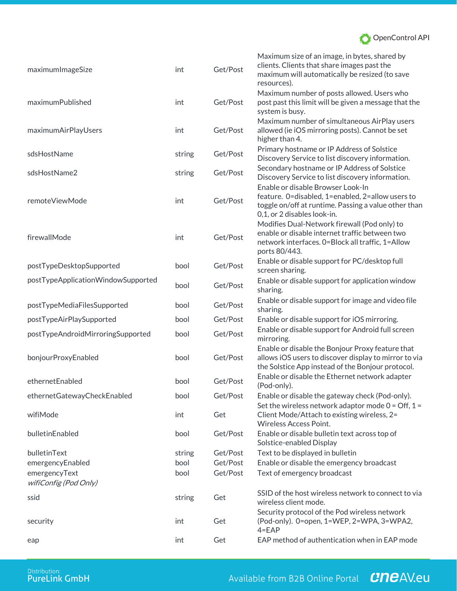

| maximumImageSize                       | int    | Get/Post | Maximum size of an image, in bytes, shared by<br>clients. Clients that share images past the<br>maximum will automatically be resized (to save<br>resources).                |
|----------------------------------------|--------|----------|------------------------------------------------------------------------------------------------------------------------------------------------------------------------------|
| maximumPublished                       | int    | Get/Post | Maximum number of posts allowed. Users who<br>post past this limit will be given a message that the<br>system is busy.                                                       |
| maximumAirPlayUsers                    | int    | Get/Post | Maximum number of simultaneous AirPlay users<br>allowed (ie iOS mirroring posts). Cannot be set<br>higher than 4.                                                            |
| sdsHostName                            | string | Get/Post | Primary hostname or IP Address of Solstice<br>Discovery Service to list discovery information.                                                                               |
| sdsHostName2                           | string | Get/Post | Secondary hostname or IP Address of Solstice<br>Discovery Service to list discovery information.                                                                             |
| remoteViewMode                         | int    | Get/Post | Enable or disable Browser Look-In<br>feature. 0=disabled, 1=enabled, 2=allow users to<br>toggle on/off at runtime. Passing a value other than<br>0,1, or 2 disables look-in. |
| firewallMode                           | int    | Get/Post | Modifies Dual-Network firewall (Pod only) to<br>enable or disable internet traffic between two<br>network interfaces. 0=Block all traffic, 1=Allow<br>ports 80/443.          |
| postTypeDesktopSupported               | bool   | Get/Post | Enable or disable support for PC/desktop full<br>screen sharing.                                                                                                             |
| postTypeApplicationWindowSupported     | bool   | Get/Post | Enable or disable support for application window<br>sharing.                                                                                                                 |
| postTypeMediaFilesSupported            | bool   | Get/Post | Enable or disable support for image and video file<br>sharing.                                                                                                               |
| postTypeAirPlaySupported               | bool   | Get/Post | Enable or disable support for iOS mirroring.                                                                                                                                 |
| postTypeAndroidMirroringSupported      | bool   | Get/Post | Enable or disable support for Android full screen<br>mirroring.                                                                                                              |
| bonjourProxyEnabled                    | bool   | Get/Post | Enable or disable the Bonjour Proxy feature that<br>allows iOS users to discover display to mirror to via<br>the Solstice App instead of the Bonjour protocol.               |
| ethernetEnabled                        | bool   | Get/Post | Enable or disable the Ethernet network adapter<br>(Pod-only).                                                                                                                |
| ethernetGatewayCheckEnabled            | bool   | Get/Post | Enable or disable the gateway check (Pod-only).                                                                                                                              |
| wifiMode                               | int    | Get      | Set the wireless network adaptor mode $0 = \text{Off}, 1 =$<br>Client Mode/Attach to existing wireless, 2=<br>Wireless Access Point.                                         |
| bulletinEnabled                        | bool   | Get/Post | Enable or disable bulletin text across top of<br>Solstice-enabled Display                                                                                                    |
| bulletinText                           | string | Get/Post | Text to be displayed in bulletin                                                                                                                                             |
| emergencyEnabled                       | bool   | Get/Post | Enable or disable the emergency broadcast                                                                                                                                    |
| emergencyText<br>wifiConfig (Pod Only) | bool   | Get/Post | Text of emergency broadcast                                                                                                                                                  |
| ssid                                   | string | Get      | SSID of the host wireless network to connect to via<br>wireless client mode.                                                                                                 |
| security                               | int    | Get      | Security protocol of the Pod wireless network<br>(Pod-only). 0=open, 1=WEP, 2=WPA, 3=WPA2,<br>$4 = EAP$                                                                      |
| eap                                    | int    | Get      | EAP method of authentication when in EAP mode                                                                                                                                |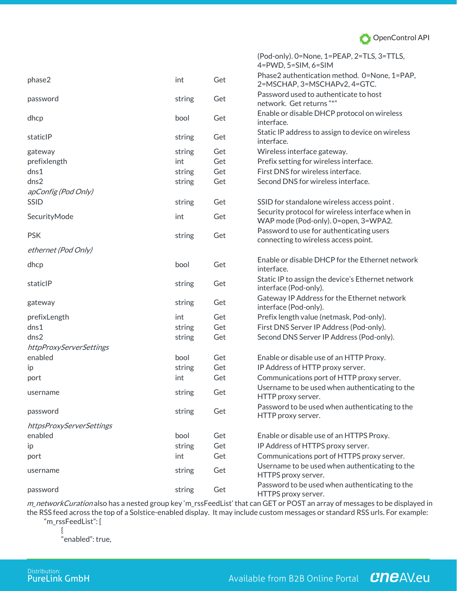

|                          |        |     | (Pod-only). 0=None, 1=PEAP, 2=TLS, 3=TTLS,<br>$4 = PWD, 5 = SIM, 6 = SIM$                |
|--------------------------|--------|-----|------------------------------------------------------------------------------------------|
| phase2                   | int    | Get | Phase2 authentication method. 0=None, 1=PAP,<br>2=MSCHAP, 3=MSCHAPv2, 4=GTC.             |
| password                 | string | Get | Password used to authenticate to host<br>network. Get returns "*"                        |
| dhcp                     | bool   | Get | Enable or disable DHCP protocol on wireless<br>interface.                                |
| staticlP                 | string | Get | Static IP address to assign to device on wireless<br>interface.                          |
| gateway                  | string | Get | Wireless interface gateway.                                                              |
| prefixlength             | int    | Get | Prefix setting for wireless interface.                                                   |
| dns1                     | string | Get | First DNS for wireless interface.                                                        |
| dns2                     | string | Get | Second DNS for wireless interface.                                                       |
| apConfig (Pod Only)      |        |     |                                                                                          |
| <b>SSID</b>              | string | Get | SSID for standalone wireless access point.                                               |
| SecurityMode             | int    | Get | Security protocol for wireless interface when in<br>WAP mode (Pod-only). 0=open, 3=WPA2. |
| <b>PSK</b>               | string | Get | Password to use for authenticating users<br>connecting to wireless access point.         |
| ethernet (Pod Only)      |        |     |                                                                                          |
| dhcp                     | bool   | Get | Enable or disable DHCP for the Ethernet network<br>interface.                            |
| staticlP                 | string | Get | Static IP to assign the device's Ethernet network<br>interface (Pod-only).               |
| gateway                  | string | Get | Gateway IP Address for the Ethernet network<br>interface (Pod-only).                     |
| prefixLength             | int    | Get | Prefix length value (netmask, Pod-only).                                                 |
| dns1                     | string | Get | First DNS Server IP Address (Pod-only).                                                  |
| dns2                     | string | Get | Second DNS Server IP Address (Pod-only).                                                 |
| httpProxyServerSettings  |        |     |                                                                                          |
| enabled                  | bool   | Get | Enable or disable use of an HTTP Proxy.                                                  |
| ip                       | string | Get | IP Address of HTTP proxy server.                                                         |
| port                     | int    | Get | Communications port of HTTP proxy server.                                                |
| username                 | string | Get | Username to be used when authenticating to the<br>HTTP proxy server.                     |
| password                 | string | Get | Password to be used when authenticating to the<br>HTTP proxy server.                     |
| httpsProxyServerSettings |        |     |                                                                                          |
| enabled                  | bool   | Get | Enable or disable use of an HTTPS Proxy.                                                 |
| ip                       | string | Get | IP Address of HTTPS proxy server.                                                        |
| port                     | int    | Get | Communications port of HTTPS proxy server.                                               |
| username                 | string | Get | Username to be used when authenticating to the<br>HTTPS proxy server.                    |
| password                 | string | Get | Password to be used when authenticating to the<br>HTTPS proxy server.                    |

m\_networkCuration also has a nested group key 'm\_rssFeedList' that can GET or POST an array of messages to be displayed in the RSS feed across the top of a Solstice-enabled display. It may include custom messages or standard RSS urls. For example: "m\_rssFeedList": [

{

"enabled": true,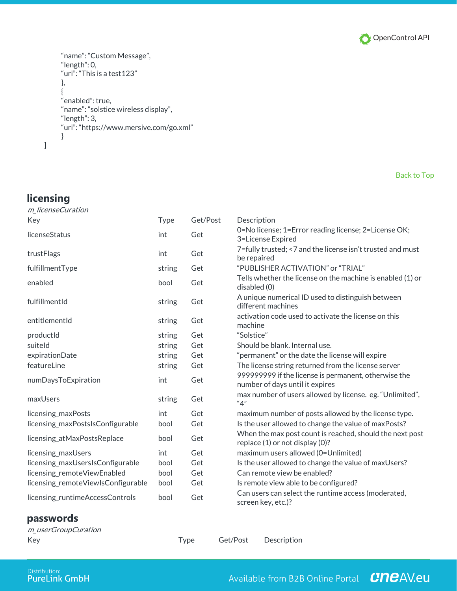

```
"name": "Custom Message",
"length": 0,
"uri": "This is a test123"
},
{
"enabled": true,
"name": "solstice wireless display",
"length": 3,
"uri": "https://www.mersive.com/go.xml"
}
```
#### Back to Top

# **licensing**

]

| m_licenseCuration                  |        |          |                                                                                             |
|------------------------------------|--------|----------|---------------------------------------------------------------------------------------------|
| Key                                | Type   | Get/Post | Description                                                                                 |
| licenseStatus                      | int    | Get      | 0=No license; 1=Error reading license; 2=License OK;<br>3=License Expired                   |
| trustFlags                         | int    | Get      | 7=fully trusted; <7 and the license isn't trusted and must<br>be repaired                   |
| fulfillmentType                    | string | Get      | "PUBLISHER ACTIVATION" or "TRIAL"                                                           |
| enabled                            | bool   | Get      | Tells whether the license on the machine is enabled (1) or<br>disabled (0)                  |
| fulfillmentId                      | string | Get      | A unique numerical ID used to distinguish between<br>different machines                     |
| entitlementId                      | string | Get      | activation code used to activate the license on this<br>machine                             |
| productId                          | string | Get      | "Solstice"                                                                                  |
| suiteld                            | string | Get      | Should be blank. Internal use.                                                              |
| expirationDate                     | string | Get      | "permanent" or the date the license will expire                                             |
| featureLine                        | string | Get      | The license string returned from the license server                                         |
| numDaysToExpiration                | int    | Get      | 999999999 if the license is permanent, otherwise the<br>number of days until it expires     |
| maxUsers                           | string | Get      | max number of users allowed by license. eg. "Unlimited",<br>"4"                             |
| licensing_maxPosts                 | int    | Get      | maximum number of posts allowed by the license type.                                        |
| licensing_maxPostsIsConfigurable   | bool   | Get      | Is the user allowed to change the value of maxPosts?                                        |
| licensing_atMaxPostsReplace        | bool   | Get      | When the max post count is reached, should the next post<br>replace (1) or not display (0)? |
| licensing_maxUsers                 | int    | Get      | maximum users allowed (0=Unlimited)                                                         |
| licensing_maxUsersIsConfigurable   | bool   | Get      | Is the user allowed to change the value of maxUsers?                                        |
| licensing_remoteViewEnabled        | bool   | Get      | Can remote view be enabled?                                                                 |
| licensing_remoteViewIsConfigurable | bool   | Get      | Is remote view able to be configured?                                                       |
| licensing_runtimeAccessControls    | bool   | Get      | Can users can select the runtime access (moderated,<br>screen key, etc.)?                   |

## **passwords**

| m_userGroupCuration |      |                      |  |
|---------------------|------|----------------------|--|
| Key                 | Type | Get/Post Description |  |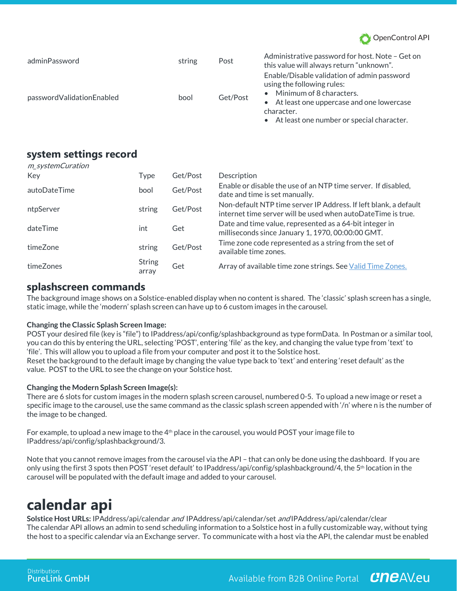

| adminPassword             | string | Post     | Administrative password for host. Note - Get on<br>this value will always return "unknown".                                                                                                                        |
|---------------------------|--------|----------|--------------------------------------------------------------------------------------------------------------------------------------------------------------------------------------------------------------------|
| passwordValidationEnabled | bool   | Get/Post | Enable/Disable validation of admin password<br>using the following rules:<br>• Minimum of 8 characters.<br>• At least one uppercase and one lowercase<br>character.<br>• At least one number or special character. |

## **system settings record**

| m_systemCuration |                        |          |                                                                                                                                  |
|------------------|------------------------|----------|----------------------------------------------------------------------------------------------------------------------------------|
| Key              | Type                   | Get/Post | Description                                                                                                                      |
| autoDateTime     | bool                   | Get/Post | Enable or disable the use of an NTP time server. If disabled,<br>date and time is set manually.                                  |
| ntpServer        | string                 | Get/Post | Non-default NTP time server IP Address. If left blank, a default<br>internet time server will be used when autoDateTime is true. |
| dateTime         | int                    | Get      | Date and time value, represented as a 64-bit integer in<br>milliseconds since January 1, 1970, 00:00:00 GMT.                     |
| timeZone         | string                 | Get/Post | Time zone code represented as a string from the set of<br>available time zones.                                                  |
| timeZones        | <b>String</b><br>array | Get      | Array of available time zone strings. See Valid Time Zones.                                                                      |

## **splashscreen commands**

The background image shows on a Solstice-enabled display when no content is shared. The 'classic' splash screen has a single, static image, while the 'modern' splash screen can have up to 6 custom images in the carousel.

### **Changing the Classic Splash Screen Image:**

POST your desired file (key is "file") to IPaddress/api/config/splashbackground as type formData. In Postman or a similar tool, you can do this by entering the URL, selecting 'POST', entering 'file' as the key, and changing the value type from 'text' to 'file'. This will allow you to upload a file from your computer and post it to the Solstice host. Reset the background to the default image by changing the value type back to 'text' and entering 'reset default' as the value. POST to the URL to see the change on your Solstice host.

### **Changing the Modern Splash Screen Image(s):**

There are 6 slots for custom images in the modern splash screen carousel, numbered 0-5. To upload a new image or reset a specific image to the carousel, use the same command as the classic splash screen appended with '/n' where n is the number of the image to be changed.

For example, to upload a new image to the  $4<sup>th</sup>$  place in the carousel, you would POST your image file to IPaddress/api/config/splashbackground/3.

Note that you cannot remove images from the carousel via the API – that can only be done using the dashboard. If you are only using the first 3 spots then POST 'reset default' to IPaddress/api/config/splashbackground/4, the 5th location in the carousel will be populated with the default image and added to your carousel.

# **calendar api**

**Solstice Host URLs:** IPAddress/api/calendar and IPAddress/api/calendar/set and IPAddress/api/calendar/clear The calendar API allows an admin to send scheduling information to a Solstice host in a fully customizable way, without tying the host to a specific calendar via an Exchange server. To communicate with a host via the API, the calendar must be enabled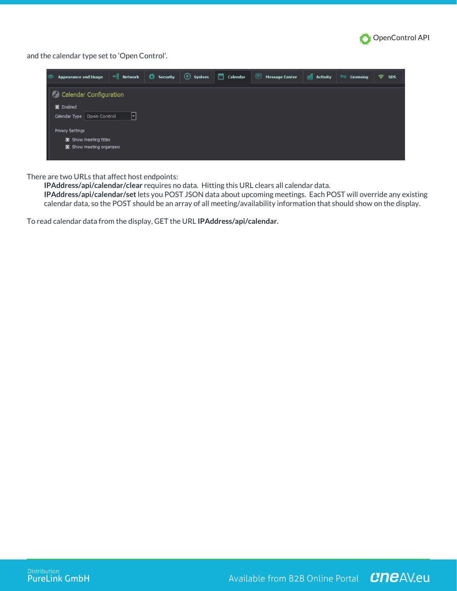

and the calendar type set to 'Open Control'.

| <b>Appearance and Usage</b>                                                                                                                          | $M_{\odot}$ Network | <b>10</b> Security | System | Calendar | <b>Message Center</b> | <b>Activity</b> | Licensing | 令<br><b>SDS</b> |
|------------------------------------------------------------------------------------------------------------------------------------------------------|---------------------|--------------------|--------|----------|-----------------------|-----------------|-----------|-----------------|
| Calendar Configuration<br>X Enabled<br>Calendar Type   Open Control<br><b>Privacy Settings</b><br>X Show meeting titles<br>X Show meeting organizers | ⊻                   |                    |        |          |                       |                 |           |                 |

There are two URLs that affect host endpoints:

**IPAddress/api/calendar/clear** requires no data. Hitting this URL clears all calendar data.

**IPAddress/api/calendar/set**lets you POST JSON data about upcoming meetings. Each POST will override any existing calendar data, so the POST should be an array of all meeting/availability information that should show on the display.

To read calendar data from the display, GET the URL **IPAddress/api/calendar.**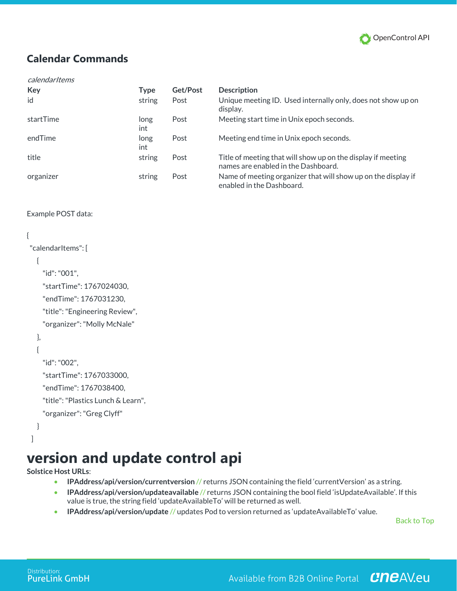

# **Calendar Commands**

#### calendarItems

| Key       | <b>Type</b> | Get/Post | <b>Description</b>                                                                                  |
|-----------|-------------|----------|-----------------------------------------------------------------------------------------------------|
| id        | string      | Post     | Unique meeting ID. Used internally only, does not show up on<br>display.                            |
| startTime | long<br>int | Post     | Meeting start time in Unix epoch seconds.                                                           |
| endTime   | long<br>int | Post     | Meeting end time in Unix epoch seconds.                                                             |
| title     | string      | Post     | Title of meeting that will show up on the display if meeting<br>names are enabled in the Dashboard. |
| organizer | string      | Post     | Name of meeting organizer that will show up on the display if<br>enabled in the Dashboard.          |

### Example POST data:

### {

```
 "calendarItems": [
```
### {

```
 "id": "001",
 "startTime": 1767024030,
```

```
 "endTime": 1767031230,
```
"title": "Engineering Review",

"organizer": "Molly McNale"

#### },

```
 {
```

```
 "id": "002",
```
"startTime": 1767033000,

"endTime": 1767038400,

```
 "title": "Plastics Lunch & Learn",
```

```
 "organizer": "Greg Clyff"
```
# }

## ]

# **version and update control api**

**Solstice Host URLs**:

- **IPAddress/api/version/currentversion** // returns JSON containing the field 'currentVersion' as a string.
- **IPAddress/api/version/updateavailable** // returns JSON containing the bool field 'isUpdateAvailable'. If this value is true, the string field 'updateAvailableTo' will be returned as well.
- **IPAddress/api/version/update** // updates Pod to version returned as 'updateAvailableTo' value.

Back to Top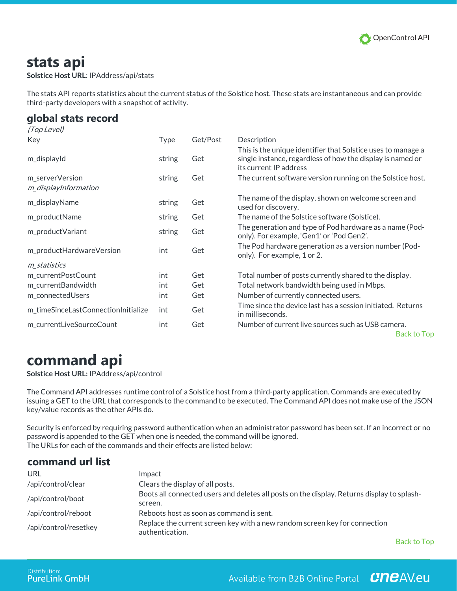

# **stats api**

**Solstice Host URL**: IPAddress/api/stats

The stats API reports statistics about the current status of the Solstice host. These stats are instantaneous and can provide third-party developers with a snapshot of activity.

# **global stats record**

| (Top Level)                         |        |          |                                                                                                                                                      |
|-------------------------------------|--------|----------|------------------------------------------------------------------------------------------------------------------------------------------------------|
| Key                                 | Type   | Get/Post | Description                                                                                                                                          |
| m_displayId                         | string | Get      | This is the unique identifier that Solstice uses to manage a<br>single instance, regardless of how the display is named or<br>its current IP address |
| m_serverVersion                     | string | Get      | The current software version running on the Solstice host.                                                                                           |
| m_displayInformation                |        |          |                                                                                                                                                      |
| m_displayName                       | string | Get      | The name of the display, shown on welcome screen and<br>used for discovery.                                                                          |
| m_productName                       | string | Get      | The name of the Solstice software (Solstice).                                                                                                        |
| m_productVariant                    | string | Get      | The generation and type of Pod hardware as a name (Pod-<br>only). For example, 'Gen1' or 'Pod Gen2'.                                                 |
| m_productHardwareVersion            | int    | Get      | The Pod hardware generation as a version number (Pod-<br>only). For example, 1 or 2.                                                                 |
| m_statistics                        |        |          |                                                                                                                                                      |
| m_currentPostCount                  | int    | Get      | Total number of posts currently shared to the display.                                                                                               |
| m_currentBandwidth                  | int    | Get      | Total network bandwidth being used in Mbps.                                                                                                          |
| m_connectedUsers                    | int    | Get      | Number of currently connected users.                                                                                                                 |
| m_timeSinceLastConnectionInitialize | int    | Get      | Time since the device last has a session initiated. Returns<br>in milliseconds.                                                                      |
| m_currentLiveSourceCount            | int    | Get      | Number of current live sources such as USB camera.                                                                                                   |

Back to Top

# **command api**

**Solstice Host URL:** IPAddress/api/control

The Command API addresses runtime control of a Solstice host from a third-party application. Commands are executed by issuing a GET to the URL that corresponds to the command to be executed. The Command API does not make use of the JSON key/value records as the other APIs do.

Security is enforced by requiring password authentication when an administrator password has been set. If an incorrect or no password is appended to the GET when one is needed, the command will be ignored. The URLs for each of the commands and their effects are listed below:

## **command url list**

| URL                   | Impact                                                                                                |
|-----------------------|-------------------------------------------------------------------------------------------------------|
| /api/control/clear    | Clears the display of all posts.                                                                      |
| /api/control/boot     | Boots all connected users and deletes all posts on the display. Returns display to splash-<br>screen. |
| /api/control/reboot   | Reboots host as soon as command is sent.                                                              |
| /api/control/resetkey | Replace the current screen key with a new random screen key for connection<br>authentication.         |

Back to Top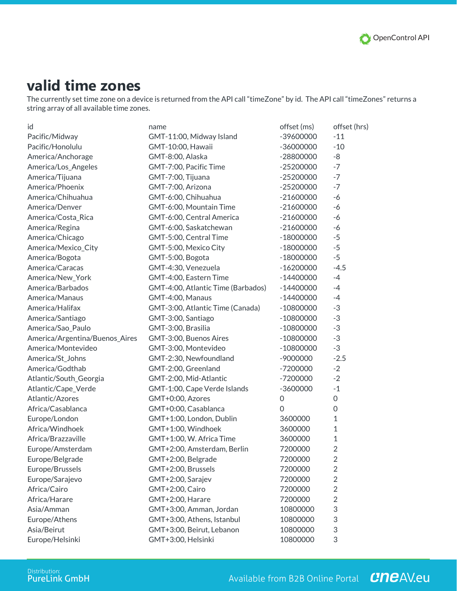

# **valid time zones**

The currently set time zone on a device is returned from the API call "timeZone" by id. The API call "timeZones" returns a string array of all available time zones.

| id                             | name                               | offset (ms)         | offset (hrs)   |
|--------------------------------|------------------------------------|---------------------|----------------|
| Pacific/Midway                 | GMT-11:00, Midway Island           | -39600000           | $-11$          |
| Pacific/Honolulu               | GMT-10:00, Hawaii                  | $-36000000$         | $-10$          |
| America/Anchorage              | GMT-8:00, Alaska                   | $-28800000$         | -8             |
| America/Los_Angeles            | GMT-7:00, Pacific Time             | $-25200000$         | $-7$           |
| America/Tijuana                | GMT-7:00, Tijuana                  | $-25200000$         | $-7$           |
| America/Phoenix                | GMT-7:00, Arizona                  | $-25200000$         | $-7$           |
| America/Chihuahua              | GMT-6:00, Chihuahua                | $-21600000$         | $-6$           |
| America/Denver                 | GMT-6:00, Mountain Time            | $-21600000$         | $-6$           |
| America/Costa_Rica             | GMT-6:00, Central America          | $-21600000$         | $-6$           |
| America/Regina                 | GMT-6:00, Saskatchewan             | $-21600000$         | $-6$           |
| America/Chicago                | GMT-5:00, Central Time             | $-18000000$         | $-5$           |
| America/Mexico_City            | GMT-5:00, Mexico City              | $-18000000$         | $-5$           |
| America/Bogota                 | GMT-5:00, Bogota                   | $-18000000$         | $-5$           |
| America/Caracas                | GMT-4:30, Venezuela                | $-16200000$         | $-4.5$         |
| America/New_York               | GMT-4:00, Eastern Time             | $-14400000$         | $-4$           |
| America/Barbados               | GMT-4:00, Atlantic Time (Barbados) | $-14400000$         | $-4$           |
| America/Manaus                 | GMT-4:00, Manaus                   | $-14400000$         | $-4$           |
| America/Halifax                | GMT-3:00, Atlantic Time (Canada)   | $-10800000$         | $-3$           |
| America/Santiago               | GMT-3:00, Santiago                 | $-10800000$         | $-3$           |
| America/Sao_Paulo              | GMT-3:00, Brasilia                 | $-10800000$         | $-3$           |
| America/Argentina/Buenos_Aires | GMT-3:00, Buenos Aires             | $-10800000$         | $-3$           |
| America/Montevideo             | GMT-3:00, Montevideo               | $-10800000$         | $-3$           |
| America/St_Johns               | GMT-2:30, Newfoundland             | $-9000000$          | $-2.5$         |
| America/Godthab                | GMT-2:00, Greenland                | $-7200000$          | $-2$           |
| Atlantic/South_Georgia         | GMT-2:00, Mid-Atlantic             | $-7200000$          | $-2$           |
| Atlantic/Cape_Verde            | GMT-1:00, Cape Verde Islands       | $-3600000$          | $-1$           |
| Atlantic/Azores                | GMT+0:00, Azores                   | $\mathsf{O}\xspace$ | $\mathbf 0$    |
| Africa/Casablanca              | GMT+0:00, Casablanca               | $\overline{0}$      | $\mathbf 0$    |
| Europe/London                  | GMT+1:00, London, Dublin           | 3600000             | 1              |
| Africa/Windhoek                | GMT+1:00, Windhoek                 | 3600000             | $\mathbf{1}$   |
| Africa/Brazzaville             | GMT+1:00, W. Africa Time           | 3600000             | $\mathbf 1$    |
| Europe/Amsterdam               | GMT+2:00, Amsterdam, Berlin        | 7200000             | $\overline{2}$ |
| Europe/Belgrade                | GMT+2:00, Belgrade                 | 7200000             | $\overline{2}$ |
| Europe/Brussels                | GMT+2:00, Brussels                 | 7200000             | $\overline{2}$ |
| Europe/Sarajevo                | GMT+2:00, Sarajev                  | 7200000             | $\overline{2}$ |
| Africa/Cairo                   | GMT+2:00, Cairo                    | 7200000             | $\overline{2}$ |
| Africa/Harare                  | GMT+2:00, Harare                   | 7200000             | $\overline{2}$ |
| Asia/Amman                     | GMT+3:00, Amman, Jordan            | 10800000            | 3              |
| Europe/Athens                  | GMT+3:00, Athens, Istanbul         | 10800000            | 3              |
| Asia/Beirut                    | GMT+3:00, Beirut, Lebanon          | 10800000            | 3              |
| Europe/Helsinki                | GMT+3:00, Helsinki                 | 10800000            | 3              |